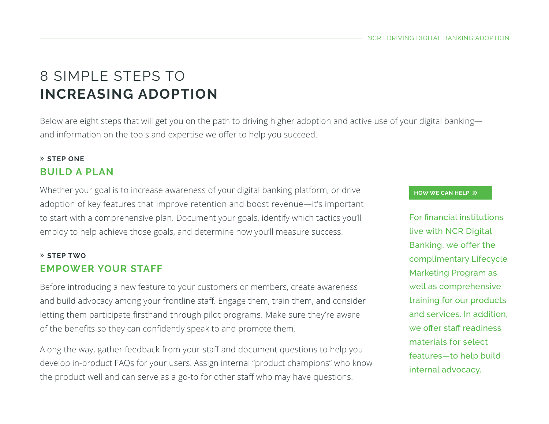## 8 SIMPLE STEPS TO **INCREASING ADOPTION**

Below are eight steps that will get you on the path to driving higher adoption and active use of your digital banking and information on the tools and expertise we offer to help you succeed.

#### » **STEP ONE BUILD A PLAN**

Whether your goal is to increase awareness of your digital banking platform, or drive adoption of key features that improve retention and boost revenue—it's important to start with a comprehensive plan. Document your goals, identify which tactics you'll employ to help achieve those goals, and determine how you'll measure success.

#### » **STEP TWO EMPOWER YOUR STAFF**

Before introducing a new feature to your customers or members, create awareness and build advocacy among your frontline staff. Engage them, train them, and consider letting them participate firsthand through pilot programs. Make sure they're aware of the benefits so they can confidently speak to and promote them.

Along the way, gather feedback from your staff and document questions to help you develop in-product FAQs for your users. Assign internal "product champions" who know the product well and can serve as a go-to for other staff who may have questions.

#### **HOW WE CAN HELP >>**

For financial institutions live with NCR Digital Banking, we offer the complimentary Lifecycle Marketing Program as well as comprehensive training for our products and services. In addition, we offer staff readiness materials for select features—to help build internal advocacy.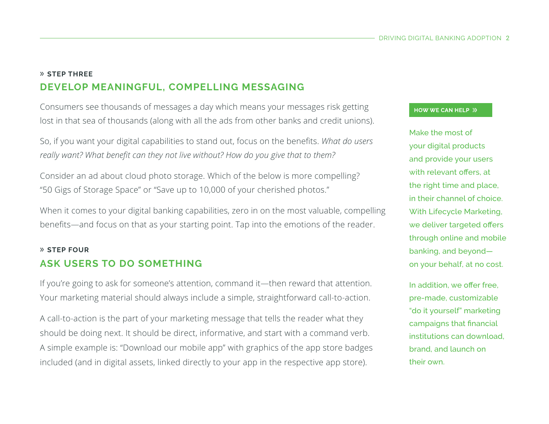## » **STEP THREE DEVELOP MEANINGFUL, COMPELLING MESSAGING**

Consumers see thousands of messages a day which means your messages risk getting lost in that sea of thousands (along with all the ads from other banks and credit unions).

So, if you want your digital capabilities to stand out, focus on the benefits. *What do users really want? What benefit can they not live without? How do you give that to them?* 

Consider an ad about cloud photo storage. Which of the below is more compelling? "50 Gigs of Storage Space" or "Save up to 10,000 of your cherished photos."

When it comes to your digital banking capabilities, zero in on the most valuable, compelling benefits—and focus on that as your starting point. Tap into the emotions of the reader.

#### » **STEP FOUR ASK USERS TO DO SOMETHING**

If you're going to ask for someone's attention, command it—then reward that attention. Your marketing material should always include a simple, straightforward call-to-action.

A call-to-action is the part of your marketing message that tells the reader what they should be doing next. It should be direct, informative, and start with a command verb. A simple example is: "Download our mobile app" with graphics of the app store badges included (and in digital assets, linked directly to your app in the respective app store).

#### **HOW WE CAN HELP >>**

Make the most of your digital products and provide your users with relevant offers, at the right time and place, in their channel of choice. With Lifecycle Marketing, we deliver targeted offers through online and mobile banking, and beyond on your behalf, at no cost.

In addition, we offer free, pre-made, customizable "do it yourself" marketing campaigns that financial institutions can download, brand, and launch on their own.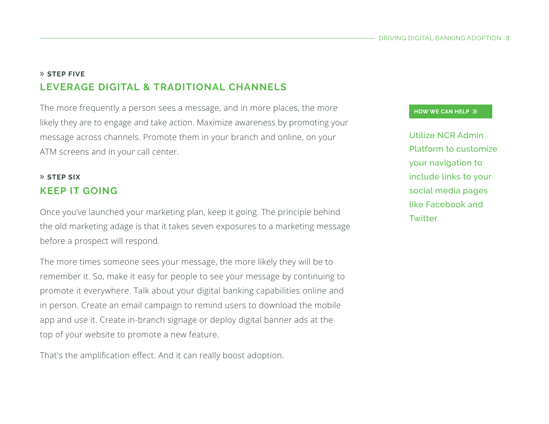## » **STEP FIVE LEVERAGE DIGITAL & TRADITIONAL CHANNELS**

The more frequently a person sees a message, and in more places, the more likely they are to engage and take action. Maximize awareness by promoting your message across channels. Promote them in your branch and online, on your ATM screens and in your call center.

## » **STEP SIX KEEP IT GOING**

Once you've launched your marketing plan, keep it going. The principle behind the old marketing adage is that it takes seven exposures to a marketing message before a prospect will respond.

The more times someone sees your message, the more likely they will be to remember it. So, make it easy for people to see your message by continuing to promote it everywhere. Talk about your digital banking capabilities online and in person. Create an email campaign to remind users to download the mobile app and use it. Create in-branch signage or deploy digital banner ads at the top of your website to promote a new feature.

That's the amplification effect. And it can really boost adoption.

#### **HOW WE CAN HELP >>**

Utilize NCR Admin Platform to customize your navigation to include links to your social media pages like Facebook and Twitter.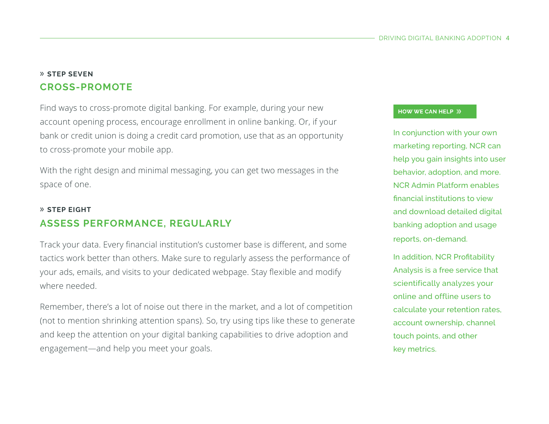#### » **STEP SEVEN CROSS-PROMOTE**

Find ways to cross-promote digital banking. For example, during your new account opening process, encourage enrollment in online banking. Or, if your bank or credit union is doing a credit card promotion, use that as an opportunity to cross-promote your mobile app.

With the right design and minimal messaging, you can get two messages in the space of one.

## » **STEP EIGHT ASSESS PERFORMANCE, REGULARLY**

Track your data. Every financial institution's customer base is different, and some tactics work better than others. Make sure to regularly assess the performance of your ads, emails, and visits to your dedicated webpage. Stay flexible and modify where needed.

Remember, there's a lot of noise out there in the market, and a lot of competition (not to mention shrinking attention spans). So, try using tips like these to generate and keep the attention on your digital banking capabilities to drive adoption and engagement—and help you meet your goals.

#### **HOW WE CAN HELP >>**

In conjunction with your own marketing reporting, NCR can help you gain insights into user behavior, adoption, and more. NCR Admin Platform enables financial institutions to view and download detailed digital banking adoption and usage reports, on-demand.

In addition, NCR Profitability Analysis is a free service that scientifically analyzes your online and offline users to calculate your retention rates, account ownership, channel touch points, and other key metrics.